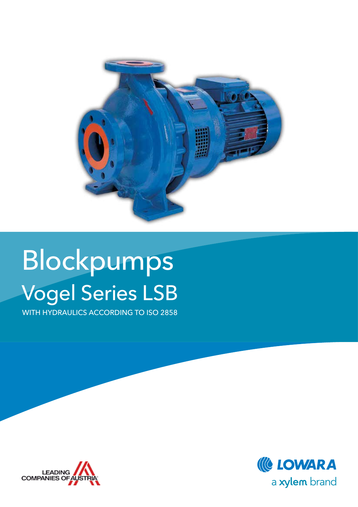

# Blockpumps Vogel Series LSB

WITH HYDRAULICS ACCORDING TO ISO 2858



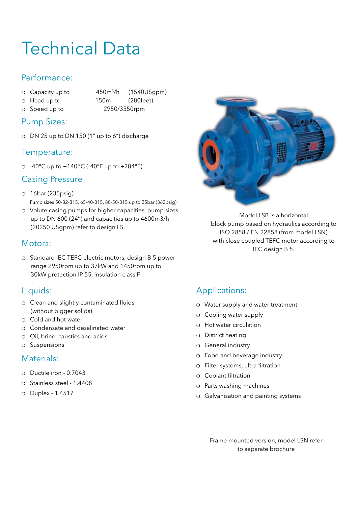## Technical Data

#### Performance:

- o Capacity up to 450m<sup>3</sup>/h (1540USgpm)
- 
- o Head up to 150m (280feet) <sup>m</sup> Speed up to 2950/3550rpm
- Pump Sizes:
- $\circ$  DN 25 up to DN 150 (1" up to 6") discharge

#### Temperature:

 $\circ$  -40°C up to +140°C (-40°F up to +284°F)

#### Casing Pressure

- o 16bar (235psig) Pump sizes 50-32-315, 65-40-315, 80-50-315 up to 25bar (363psig)
- o Volute casing pumps for higher capacities, pump sizes up to DN 600 (24'') and capacities up to 4600m3/h (20250 USgpm) refer to design LS.

#### Motors:

o Standard IEC TEFC electric motors, design B 5 power range 2950rpm up to 37kW and 1450rpm up to 30kW protection IP 55, insulation class F

#### Liquids:

- o Clean and slightly contaminated fluids (without bigger solids)
- o Cold and hot water
- $\Omega$  Condensate and desalinated water
- o Oil, brine, caustics and acids
- $O$  Suspensions

#### Materials:

- $\circ$  Ductile iron 0.7043
- o Stainless steel 1.4408
- o Duplex 1.4517



Model LSB is a horizontal block pump based on hydraulics according to ISO 2858 / EN 22858 (from model LSN) with close coupled TEFC motor according to IEC design B 5.

#### Applications:

- $\circ$  Water supply and water treatment
- o Cooling water supply
- $\Omega$  Hot water circulation
- o District heating
- o General industry
- o Food and beverage industry
- $\circ$  Filter systems, ultra filtration
- o Coolant filtration
- $\circ$  Parts washing machines
- o Galvanisation and painting systems

Frame mounted version, model LSN refer to separate brochure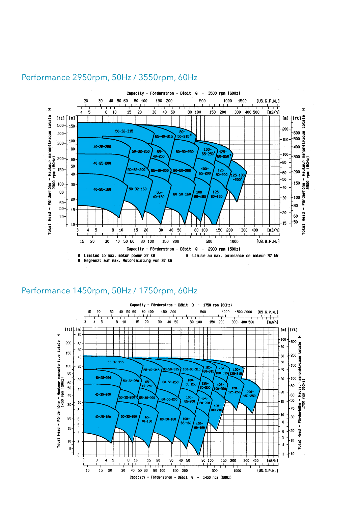

#### Performance 2950rpm, 50Hz / 3550rpm, 60Hz

#### Performance 1450rpm, 50Hz / 1750rpm, 60Hz

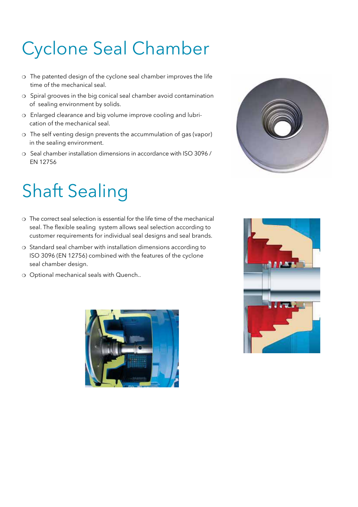## Cyclone Seal Chamber

- $\circ$  The patented design of the cyclone seal chamber improves the life time of the mechanical seal.
- o Spiral grooves in the big conical seal chamber avoid contamination of sealing environment by solids.
- o Enlarged clearance and big volume improve cooling and lubrication of the mechanical seal.
- o The self venting design prevents the accummulation of gas (vapor) in the sealing environment.
- o Seal chamber installation dimensions in accordance with ISO 3096 / EN 12756

## Shaft Sealing

- $\Omega$  The correct seal selection is essential for the life time of the mechanical seal. The flexible sealing system allows seal selection according to customer requirements for individual seal designs and seal brands.
- o Standard seal chamber with installation dimensions according to ISO 3096 (EN 12756) combined with the features of the cyclone seal chamber design.
- o Optional mechanical seals with Quench..





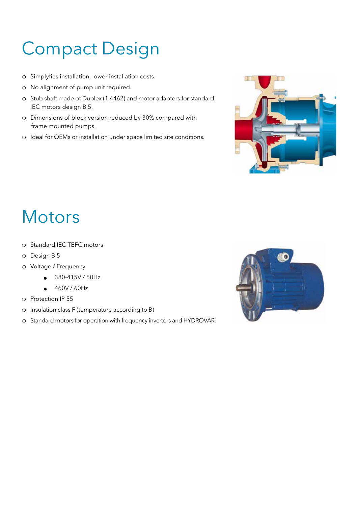## Compact Design

- o Simplyfies installation, lower installation costs.
- o No alignment of pump unit required.
- o Stub shaft made of Duplex (1.4462) and motor adapters for standard IEC motors design B 5.
- o Dimensions of block version reduced by 30% compared with frame mounted pumps.
- o Ideal for OEMs or installation under space limited site conditions.



### **Motors**

- o Standard IEC TEFC motors
- o Design B 5
- o Voltage / Frequency
	- $-380-415V/50Hz$
	- $-460V / 60Hz$
- o Protection IP 55
- o Insulation class F (temperature according to B)
- o Standard motors for operation with frequency inverters and HYDROVAR.

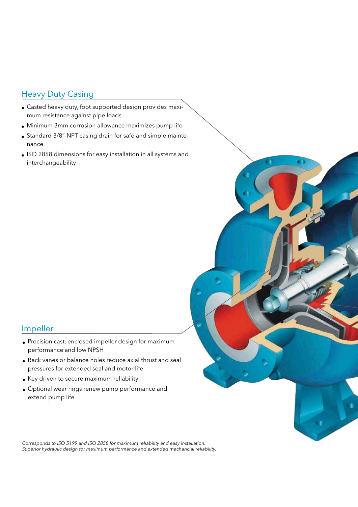#### Heavy Duty Casing

- Casted heavy duty, foot supported design provides maximum resistance against pipe loads
- Minimum 3mm corrosion allowance maximizes pump life
- Standard 3/8"-NPT casing drain for safe and simple maintenance
- <sup>l</sup> ISO 2858 dimensions for easy installation in all systems and interchangeability

C

#### Impeller

- Precision cast, enclosed impeller design for maximum performance and low NPSH
- <sup>l</sup> Back vanes or balance holes reduce axial thrust and seal pressures for extended seal and motor life
- Key driven to secure maximum reliability
- Optional wear rings renew pump performance and extend pump life

*Corresponds to ISO 5199 and ISO 2858 for maximum reliability and easy installation. Superior hydraulic design for maximum performance and extended mechancial reliability.*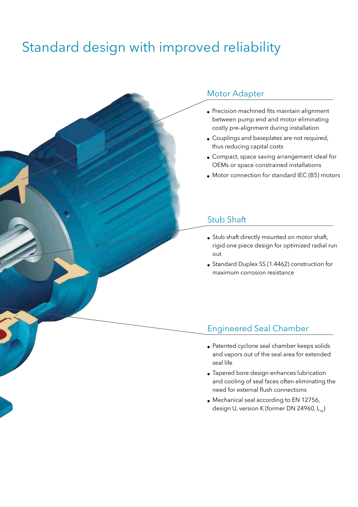### Standard design with improved reliability

#### Motor Adapter

- Precision machined fits maintain alignment between pump end and motor eliminating costly pre-alignment during installation
- Couplings and baseplates are not required, thus reducing capital costs
- Compact, space saving arrangement ideal for OEMs or space constrained installations
- **.** Motor connection for standard IEC (B5) motors

#### Stub Shaft

- Stub shaft directly mounted on motor shaft, rigid one piece design for optimized radial run out
- Standard Duplex SS (1.4462) construction for maximum corrosion resistance

#### Engineered Seal Chamber

- Patented cyclone seal chamber keeps solids and vapors out of the seal area for extended seal life
- Tapered bore design enhances lubrication and cooling of seal faces often eliminating the need for external flush connections
- **Mechanical seal according to EN 12756,** design U, version K (former DN 24960,  $L_{1k}$ )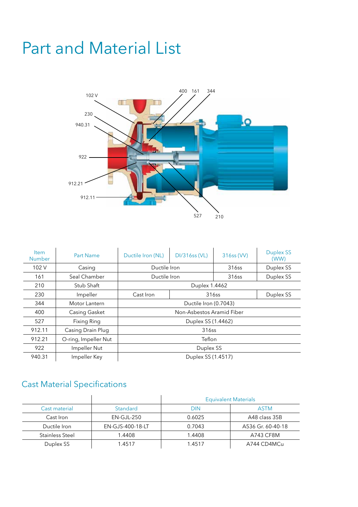### Part and Material List



| <b>Item</b><br><b>Number</b> | <b>Part Name</b>     | Ductile Iron (NL)         | <b>DI/316ss (VL)</b> | 316ss (VV) | <b>Duplex SS</b><br>(WW) |
|------------------------------|----------------------|---------------------------|----------------------|------------|--------------------------|
| 102V                         | Casing               | Ductile Iron              |                      | 316ss      | Duplex SS                |
| 161                          | Seal Chamber         | Ductile Iron              |                      | 316ss      | Duplex SS                |
| 210                          | Stub Shaft           | Duplex 1.4462             |                      |            |                          |
| 230                          | Impeller             | Cast Iron                 | 316ss                |            | Duplex SS                |
| 344                          | Motor Lantern        | Ductile Iron (0.7043)     |                      |            |                          |
| 400                          | Casing Gasket        | Non-Asbestos Aramid Fiber |                      |            |                          |
| 527                          | Fixing Ring          | Duplex SS (1.4462)        |                      |            |                          |
| 912.11                       | Casing Drain Plug    | 316ss                     |                      |            |                          |
| 912.21                       | O-ring, Impeller Nut | Teflon                    |                      |            |                          |
| 922                          | Impeller Nut         | Duplex SS                 |                      |            |                          |
| 940.31                       | Impeller Key         | Duplex SS (1.4517)        |                      |            |                          |

#### Cast Material Specifications

|                        |                  | <b>Equivalent Materials</b> |                   |  |
|------------------------|------------------|-----------------------------|-------------------|--|
| Cast material          | Standard         | <b>DIN</b>                  | <b>ASTM</b>       |  |
| Cast Iron              | $EN-GJL-250$     | 0.6025                      | A48 class 35B     |  |
| Ductile Iron           | EN-GJS-400-18-LT | 0.7043                      | A536 Gr. 60-40-18 |  |
| <b>Stainless Steel</b> | 1.4408           | 1.4408                      | A743 CF8M         |  |
| Duplex SS              | 1.4517           | 1.4517                      | A744 CD4MCu       |  |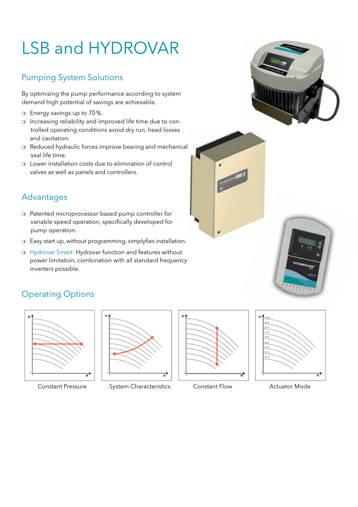## LSB and HYDROVAR

#### Pumping System Solutions

By optimizing the pump performance according to system demand high potential of savings are achievable.

- o Energy savings up to 70%.
- o Increasing reliability and improved life time due to con trolled operating conditions avoid dry run, head losses and cavitation.
- o Reduced hydraulic forces improve bearing and mechanical seal life time.
- $\circ$  Lower installation costs due to elimination of control valves as well as panels and controllers.

#### Advantages

- o Patented microprocessor based pump controller for variable speed operation, specifically developed for pump operation.
- o Easy start up, without programming, simplyfies installation.
- o Hydrovar Smart: Hydrovar function and features without power limitation, combination with all standard frequency inverters possible.



#### Operating Options









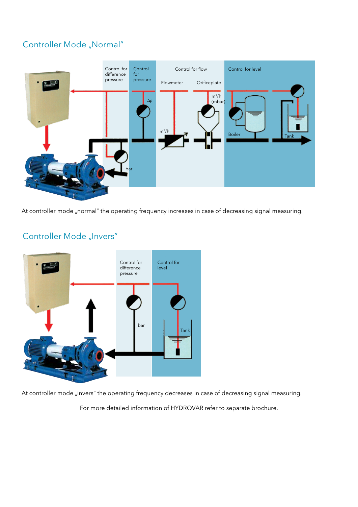#### Controller Mode "Normal"



At controller mode "normal" the operating frequency increases in case of decreasing signal measuring.



#### Controller Mode "Invers"

At controller mode "invers" the operating frequency decreases in case of decreasing signal measuring.

For more detailed information of HYDROVAR refer to separate brochure.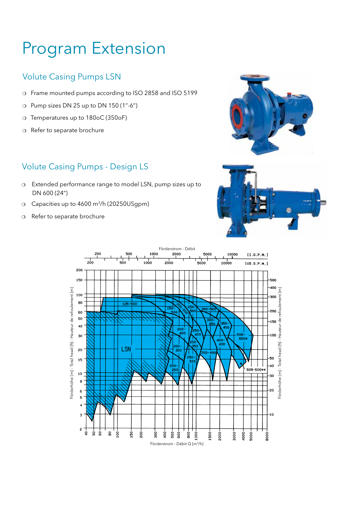### Program Extension

#### Volute Casing Pumps LSN

- o Frame mounted pumps according to ISO 2858 and ISO 5199
- $\circ$  Pump sizes DN 25 up to DN 150 (1"-6")
- o Temperatures up to 180oC (350oF)
- o Refer to separate brochure

#### Volute Casing Pumps - Design LS

- o Extended performance range to model LSN, pump sizes up to DN 600 (24")
- o Capacities up to 4600 m<sup>3</sup>/h (20250USqpm)
- o Refer to separate brochure